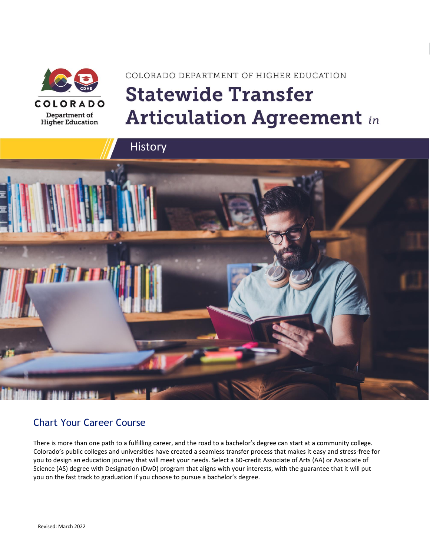

# COLORADO DEPARTMENT OF HIGHER EDUCATION **Statewide Transfer Articulation Agreement in**





### Chart Your Career Course

There is more than one path to a fulfilling career, and the road to a bachelor's degree can start at a community college. Colorado's public colleges and universities have created a seamless transfer process that makes it easy and stress-free for you to design an education journey that will meet your needs. Select a 60-credit Associate of Arts (AA) or Associate of Science (AS) degree with Designation (DwD) program that aligns with your interests, with the guarantee that it will put you on the fast track to graduation if you choose to pursue a bachelor's degree.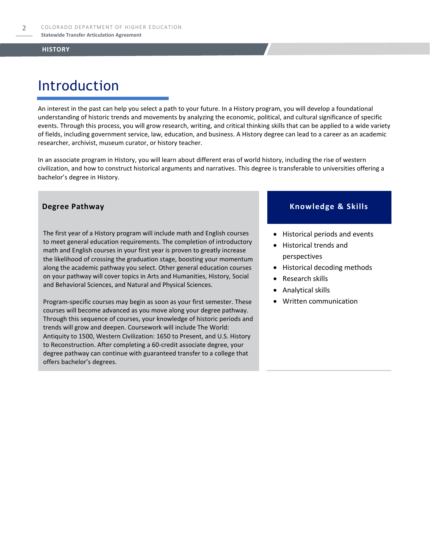# Introduction

An interest in the past can help you select a path to your future. In a History program, you will develop a foundational understanding of historic trends and movements by analyzing the economic, political, and cultural significance of specific events. Through this process, you will grow research, writing, and critical thinking skills that can be applied to a wide variety of fields, including government service, law, education, and business. A History degree can lead to a career as an academic researcher, archivist, museum curator, or history teacher.

In an associate program in History, you will learn about different eras of world history, including the rise of western civilization, and how to construct historical arguments and narratives. This degree is transferable to universities offering a bachelor's degree in History.

The first year of a History program will include math and English courses to meet general education requirements. The completion of introductory math and English courses in your first year is proven to greatly increase the likelihood of crossing the graduation stage, boosting your momentum along the academic pathway you select. Other general education courses on your pathway will cover topics in Arts and Humanities, History, Social and Behavioral Sciences, and Natural and Physical Sciences.

Program-specific courses may begin as soon as your first semester. These courses will become advanced as you move along your degree pathway. Through this sequence of courses, your knowledge of historic periods and trends will grow and deepen. Coursework will include The World: Antiquity to 1500, Western Civilization: 1650 to Present, and U.S. History to Reconstruction. After completing a 60-credit associate degree, your degree pathway can continue with guaranteed transfer to a college that offers bachelor's degrees.

### **Degree Pathway Knowledge & Skills**

- Historical periods and events
- Historical trends and perspectives
- Historical decoding methods
- Research skills
- Analytical skills
- Written communication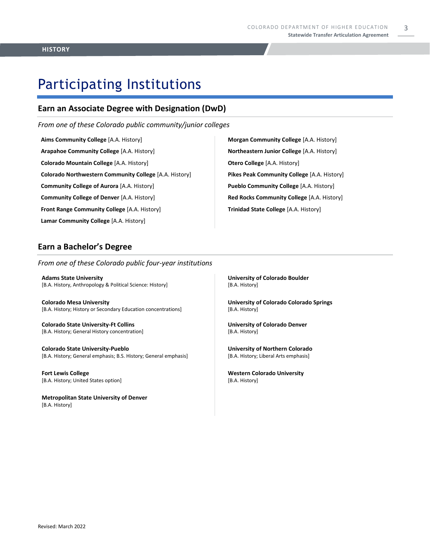# Participating Institutions

### **Earn an Associate Degree with Designation (DwD)**

*From one of these Colorado public community/junior colleges*

**Aims Community College** [A.A. History] **Arapahoe Community College** [A.A. History] **Colorado Mountain College** [A.A. History] **Colorado Northwestern Community College** [A.A. History] **Community College of Aurora** [A.A. History] **Community College of Denver** [A.A. History] **Front Range Community College** [A.A. History] **Lamar Community College** [A.A. History]

**Morgan Community College** [A.A. History] **Northeastern Junior College** [A.A. History] **Otero College** [A.A. History] **Pikes Peak Community College** [A.A. History] **Pueblo Community College** [A.A. History] **Red Rocks Community College** [A.A. History] **Trinidad State College** [A.A. History]

### **Earn a Bachelor's Degree**

*From one of these Colorado public four-year institutions*

**Adams State University**  [B.A. History, Anthropology & Political Science: History]

**Colorado Mesa University**  [B.A. History; History or Secondary Education concentrations]

**Colorado State University-Ft Collins**  [B.A. History; General History concentration]

**Colorado State University-Pueblo**  [B.A. History; General emphasis; B.S. History; General emphasis]

**Fort Lewis College**  [B.A. History; United States option]

**Metropolitan State University of Denver**  [B.A. History]

**University of Colorado Boulder**  [B.A. History]

**University of Colorado Colorado Springs** [B.A. History]

**University of Colorado Denver** [B.A. History]

**University of Northern Colorado** [B.A. History; Liberal Arts emphasis]

**Western Colorado University** [B.A. History]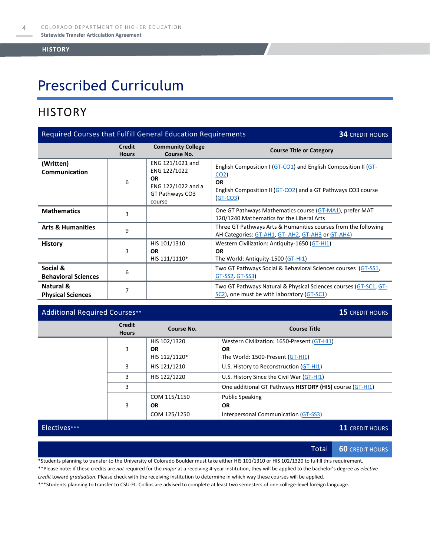# Prescribed Curriculum

## **HISTORY**

| Required Courses that Fulfill General Education Requirements<br><b>34 CREDIT HOURS</b> |                               |                                                                                                  |                                                                                                                                                                            |  |
|----------------------------------------------------------------------------------------|-------------------------------|--------------------------------------------------------------------------------------------------|----------------------------------------------------------------------------------------------------------------------------------------------------------------------------|--|
|                                                                                        | <b>Credit</b><br><b>Hours</b> | <b>Community College</b><br>Course No.                                                           | <b>Course Title or Category</b>                                                                                                                                            |  |
| (Written)<br><b>Communication</b>                                                      | 6                             | ENG 121/1021 and<br>ENG 122/1022<br><b>OR</b><br>ENG 122/1022 and a<br>GT Pathways CO3<br>course | English Composition I (GT-CO1) and English Composition II (GT-<br>CO <sub>2</sub><br><b>OR</b><br>English Composition II (GT-CO2) and a GT Pathways CO3 course<br>(GT-CO3) |  |
| <b>Mathematics</b>                                                                     | 3                             |                                                                                                  | One GT Pathways Mathematics course (GT-MA1), prefer MAT<br>120/1240 Mathematics for the Liberal Arts                                                                       |  |
| <b>Arts &amp; Humanities</b>                                                           | 9                             |                                                                                                  | Three GT Pathways Arts & Humanities courses from the following<br>AH Categories: GT-AH1, GT-AH2, GT-AH3 or GT-AH4)                                                         |  |
| <b>History</b>                                                                         | 3                             | HIS 101/1310<br><b>OR</b><br>HIS 111/1110*                                                       | Western Civilization: Antiquity-1650 (GT-HI1)<br><b>OR</b><br>The World: Antiquity-1500 (GT-HI1)                                                                           |  |
| Social &<br><b>Behavioral Sciences</b>                                                 | 6                             |                                                                                                  | Two GT Pathways Social & Behavioral Sciences courses (GT-SS1,<br><u>GT-SS2, GT-SS3</u>                                                                                     |  |
| <b>Natural &amp;</b><br><b>Physical Sciences</b>                                       | 7                             |                                                                                                  | Two GT Pathways Natural & Physical Sciences courses (GT-SC1, GT-<br>SC2), one must be with laboratory (GT-SC1)                                                             |  |

### Additional Required Courses\*\* **15** CREDIT HOURS

| <b>Credit</b><br><b>Hours</b> | Course No.    | <b>Course Title</b>                                      |
|-------------------------------|---------------|----------------------------------------------------------|
|                               | HIS 102/1320  | Western Civilization: 1650-Present (GT-HI1)              |
| 3                             | <b>OR</b>     | <b>OR</b>                                                |
|                               | HIS 112/1120* | The World: 1500-Present (GT-HI1)                         |
| 3                             | HIS 121/1210  | U.S. History to Reconstruction (GT-HI1)                  |
| 3                             | HIS 122/1220  | U.S. History Since the Civil War (GT-HI1)                |
| 3                             |               | One additional GT Pathways HISTORY (HIS) course (GT-HI1) |
|                               | COM 115/1150  | <b>Public Speaking</b>                                   |
| 3                             | <b>OR</b>     | <b>OR</b>                                                |
|                               | COM 125/1250  | Interpersonal Communication (GT-SS3)                     |

Electives\*\*\* **11** CREDIT HOURS

Total **60** CREDIT HOURS

\*Students planning to transfer to the University of Colorado Boulder must take either HIS 101/1310 or HIS 102/1320 to fulfill this requirement.

\*\*Please note: if these credits are *not* required for the *major* at a receiving 4-year institution, they will be applied to the bachelor's degree as *elective credit* toward *graduation*. Please check with the receiving institution to determine in which way these courses will be applied.

\*\*\*Students planning to transfer to CSU-Ft. Collins are advised to complete at least two semesters of one college-level foreign language.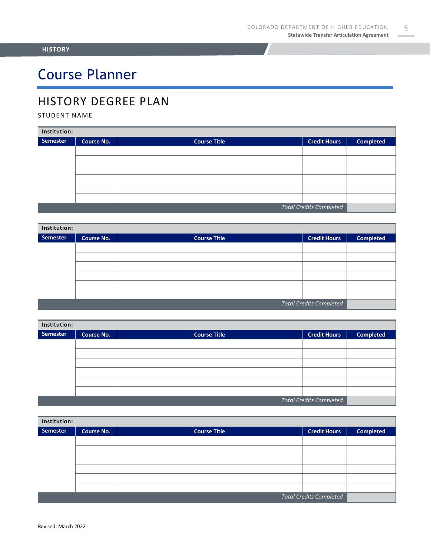# Course Planner

## HISTORY DEGREE PLAN

### STUDENT NAME

| Institution:                   |                   |                     |                     |                  |  |
|--------------------------------|-------------------|---------------------|---------------------|------------------|--|
| Semester                       | <b>Course No.</b> | <b>Course Title</b> | <b>Credit Hours</b> | <b>Completed</b> |  |
|                                |                   |                     |                     |                  |  |
|                                |                   |                     |                     |                  |  |
|                                |                   |                     |                     |                  |  |
|                                |                   |                     |                     |                  |  |
|                                |                   |                     |                     |                  |  |
|                                |                   |                     |                     |                  |  |
| <b>Total Credits Completed</b> |                   |                     |                     |                  |  |

| Institution:                   |                   |                     |                     |                  |  |
|--------------------------------|-------------------|---------------------|---------------------|------------------|--|
| Semester                       | <b>Course No.</b> | <b>Course Title</b> | <b>Credit Hours</b> | <b>Completed</b> |  |
|                                |                   |                     |                     |                  |  |
|                                |                   |                     |                     |                  |  |
|                                |                   |                     |                     |                  |  |
|                                |                   |                     |                     |                  |  |
|                                |                   |                     |                     |                  |  |
|                                |                   |                     |                     |                  |  |
| <b>Total Credits Completed</b> |                   |                     |                     |                  |  |

| Institution:                   |                   |                     |                     |                  |  |
|--------------------------------|-------------------|---------------------|---------------------|------------------|--|
| Semester                       | <b>Course No.</b> | <b>Course Title</b> | <b>Credit Hours</b> | <b>Completed</b> |  |
|                                |                   |                     |                     |                  |  |
|                                |                   |                     |                     |                  |  |
|                                |                   |                     |                     |                  |  |
|                                |                   |                     |                     |                  |  |
|                                |                   |                     |                     |                  |  |
|                                |                   |                     |                     |                  |  |
| <b>Total Credits Completed</b> |                   |                     |                     |                  |  |

| Institution:                   |                   |                     |                     |                  |  |
|--------------------------------|-------------------|---------------------|---------------------|------------------|--|
| Semester                       | <b>Course No.</b> | <b>Course Title</b> | <b>Credit Hours</b> | <b>Completed</b> |  |
|                                |                   |                     |                     |                  |  |
|                                |                   |                     |                     |                  |  |
|                                |                   |                     |                     |                  |  |
|                                |                   |                     |                     |                  |  |
|                                |                   |                     |                     |                  |  |
|                                |                   |                     |                     |                  |  |
| <b>Total Credits Completed</b> |                   |                     |                     |                  |  |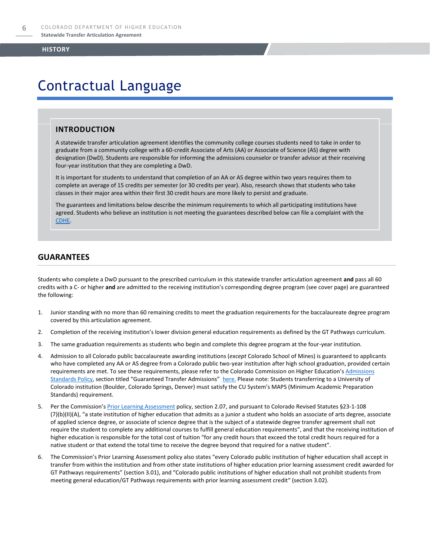# Contractual Language

### **INTRODUCTION**

A statewide transfer articulation agreement identifies the community college courses students need to take in order to graduate from a community college with a 60-credit Associate of Arts (AA) or Associate of Science (AS) degree with designation (DwD). Students are responsible for informing the admissions counselor or transfer advisor at their receiving four-year institution that they are completing a DwD.

It is important for students to understand that completion of an AA or AS degree within two years requires them to complete an average of 15 credits per semester (or 30 credits per year). Also, research shows that students who take classes in their major area within their first 30 credit hours are more likely to persist and graduate.

The guarantees and limitations below describe the minimum requirements to which all participating institutions have agreed. Students who believe an institution is not meeting the guarantees described below can file a complaint with the [CDHE.](https://highered.colorado.gov/filing-student-complaint)

### **GUARANTEES**

Students who complete a DwD pursuant to the prescribed curriculum in this statewide transfer articulation agreement **and** pass all 60 credits with a C- or higher **and** are admitted to the receiving institution's corresponding degree program (see cover page) are guaranteed the following:

- 1. Junior standing with no more than 60 remaining credits to meet the graduation requirements for the baccalaureate degree program covered by this articulation agreement.
- 2. Completion of the receiving institution's lower division general education requirements as defined by the GT Pathways curriculum.
- 3. The same graduation requirements as students who begin and complete this degree program at the four-year institution.
- 4. Admission to all Colorado public baccalaureate awarding institutions (*except* Colorado School of Mines) is guaranteed to applicants who have completed any AA or AS degree from a Colorado public two-year institution after high school graduation, provided certain requirements are met. To see these requirements, please refer to the Colorado Commission on Higher Education's Admissions [Standards Policy](https://highered.colorado.gov/sites/highered/files/2020-03/i-partf_0.pdf), section titled "Guaranteed Transfer Admissions" [here.](https://highered.colorado.gov/educators/policy-funding/cche-policies-procedures) Please note: Students transferring to a University of Colorado institution (Boulder, Colorado Springs, Denver) must satisfy the CU System's MAPS (Minimum Academic Preparation Standards) requirement.
- 5. Per the Commission's **[Prior Learning Assessment](https://highered.colorado.gov/sites/highered/files/2020-03/i-partx.pdf)** policy, section 2.07, and pursuant to Colorado Revised Statutes §23-1-108 (7)(b)(II)(A), "a state institution of higher education that admits as a junior a student who holds an associate of arts degree, associate of applied science degree, or associate of science degree that is the subject of a statewide degree transfer agreement shall not require the student to complete any additional courses to fulfill general education requirements", and that the receiving institution of higher education is responsible for the total cost of tuition "for any credit hours that exceed the total credit hours required for a native student or that extend the total time to receive the degree beyond that required for a native student".
- 6. The Commission's Prior Learning Assessment policy also states "every Colorado public institution of higher education shall accept in transfer from within the institution and from other state institutions of higher education prior learning assessment credit awarded for GT Pathways requirements" (section 3.01), and "Colorado public institutions of higher education shall not prohibit students from meeting general education/GT Pathways requirements with prior learning assessment credit" (section 3.02).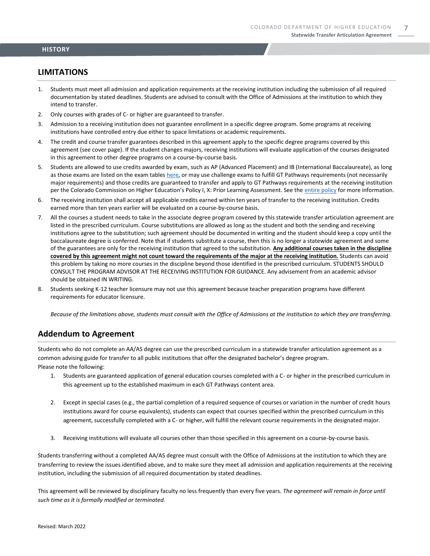### **LIMITATIONS**

- 1. Students must meet all admission and application requirements at the receiving institution including the submission of all required documentation by stated deadlines. Students are advised to consult with the Office of Admissions at the institution to which they intend to transfer.
- 2. Only courses with grades of C- or higher are guaranteed to transfer.
- 3. Admission to a receiving institution does not guarantee enrollment in a specific degree program. Some programs at receiving institutions have controlled entry due either to space limitations or academic requirements.
- 4. The credit and course transfer guarantees described in this agreement apply to the specific degree programs covered by this agreement (see cover page). If the student changes majors, receiving institutions will evaluate application of the courses designated in this agreement to other degree programs on a course-by-course basis.
- 5. Students are allowed to use credits awarded by exam, such as AP (Advanced Placement) and IB (International Baccalaureate), as long as those exams are listed on the exam table[s here,](https://highered.colorado.gov/get-credit-for-what-you-already-know) or may use challenge exams to fulfill GT Pathways requirements (not necessarily major requirements) and those credits are guaranteed to transfer and apply to GT Pathways requirements at the receiving institution per the Colorado Commission on Higher Education's Policy I, X: Prior Learning Assessment. See the [entire policy](https://highered.colorado.gov/sites/highered/files/2020-03/i-partx.pdf) for more information.
- 6. The receiving institution shall accept all applicable credits earned within ten years of transfer to the receiving institution. Credits earned more than ten years earlier will be evaluated on a course-by-course basis.
- 7. All the courses a student needs to take in the associate degree program covered by this statewide transfer articulation agreement are listed in the prescribed curriculum. Course substitutions are allowed as long as the student and both the sending and receiving institutions agree to the substitution; such agreement should be documented in writing and the student should keep a copy until the baccalaureate degree is conferred. Note that if students substitute a course, then this is no longer a statewide agreement and some of the guarantees are only for the receiving institution that agreed to the substitution. **Any additional courses taken in the discipline covered by this agreement might not count toward the requirements of the major at the receiving institution.** Students can avoid this problem by taking no more courses in the discipline beyond those identified in the prescribed curriculum. STUDENTS SHOULD CONSULT THE PROGRAM ADVISOR AT THE RECEIVING INSTITUTION FOR GUIDANCE. Any advisement from an academic advisor should be obtained IN WRITING.
- 8. Students seeking K-12 teacher licensure may not use this agreement because teacher preparation programs have different requirements for educator licensure.

*Because of the limitations above, students must consult with the Office of Admissions at the institution to which they are transferring.*

### **Addendum to Agreement**

Students who do not complete an AA/AS degree can use the prescribed curriculum in a statewide transfer articulation agreement as a common advising guide for transfer to all public institutions that offer the designated bachelor's degree program. Please note the following:

- 1. Students are guaranteed application of general education courses completed with a C- or higher in the prescribed curriculum in this agreement up to the established maximum in each GT Pathways content area.
- 2. Except in special cases (e.g., the partial completion of a required sequence of courses or variation in the number of credit hours institutions award for course equivalents), students can expect that courses specified within the prescribed curriculum in this agreement, successfully completed with a C- or higher, will fulfill the relevant course requirements in the designated major.
- 3. Receiving institutions will evaluate all courses other than those specified in this agreement on a course-by-course basis.

Students transferring without a completed AA/AS degree must consult with the Office of Admissions at the institution to which they are transferring to review the issues identified above, and to make sure they meet all admission and application requirements at the receiving institution, including the submission of all required documentation by stated deadlines.

This agreement will be reviewed by disciplinary faculty no less frequently than every five years. *The agreement will remain in force until such time as it is formally modified or terminated.*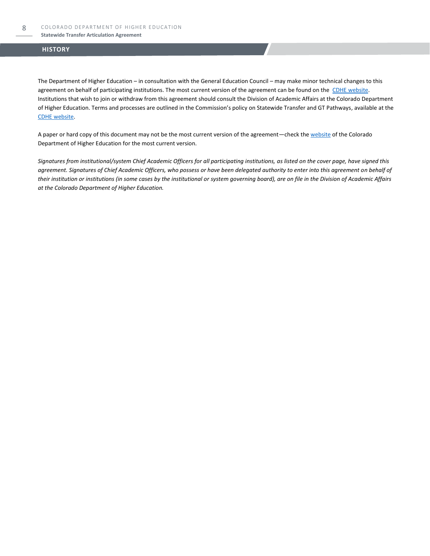#### **Statewide Transfer Articulation Agreement**

### **HISTORY**

The Department of Higher Education – in consultation with the General Education Council – may make minor technical changes to this agreement on behalf of participating institutions. The most current version of the agreement can be found on the [CDHE website.](https://highered.colorado.gov/transfer-degrees) Institutions that wish to join or withdraw from this agreement should consult the Division of Academic Affairs at the Colorado Department of Higher Education. Terms and processes are outlined in the Commission's policy on Statewide Transfer and GT Pathways, available at the [CDHE website.](https://highered.colorado.gov/educators/policy-funding/general-education-ge-council/gtpathways/transfer-agreements)

A paper or hard copy of this document may not be the most current version of the agreement—check th[e website](https://highered.colorado.gov/transfer-degrees) of the Colorado Department of Higher Education for the most current version.

*Signatures from institutional/system Chief Academic Officers for all participating institutions, as listed on the cover page, have signed this agreement. Signatures of Chief Academic Officers, who possess or have been delegated authority to enter into this agreement on behalf of their institution or institutions (in some cases by the institutional or system governing board), are on file in the Division of Academic Affairs at the Colorado Department of Higher Education.*